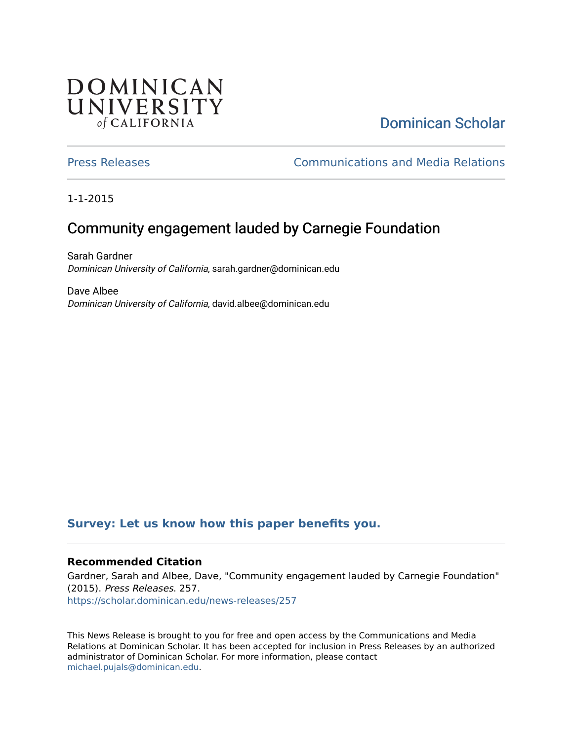## **DOMINICAN** UNIVERSITY of CALIFORNIA

# [Dominican Scholar](https://scholar.dominican.edu/)

[Press Releases](https://scholar.dominican.edu/news-releases) [Communications and Media Relations](https://scholar.dominican.edu/communications-media) 

1-1-2015

# Community engagement lauded by Carnegie Foundation

Sarah Gardner Dominican University of California, sarah.gardner@dominican.edu

Dave Albee Dominican University of California, david.albee@dominican.edu

## **[Survey: Let us know how this paper benefits you.](https://dominican.libwizard.com/dominican-scholar-feedback)**

### **Recommended Citation**

Gardner, Sarah and Albee, Dave, "Community engagement lauded by Carnegie Foundation" (2015). Press Releases. 257. [https://scholar.dominican.edu/news-releases/257](https://scholar.dominican.edu/news-releases/257?utm_source=scholar.dominican.edu%2Fnews-releases%2F257&utm_medium=PDF&utm_campaign=PDFCoverPages)

This News Release is brought to you for free and open access by the Communications and Media Relations at Dominican Scholar. It has been accepted for inclusion in Press Releases by an authorized administrator of Dominican Scholar. For more information, please contact [michael.pujals@dominican.edu.](mailto:michael.pujals@dominican.edu)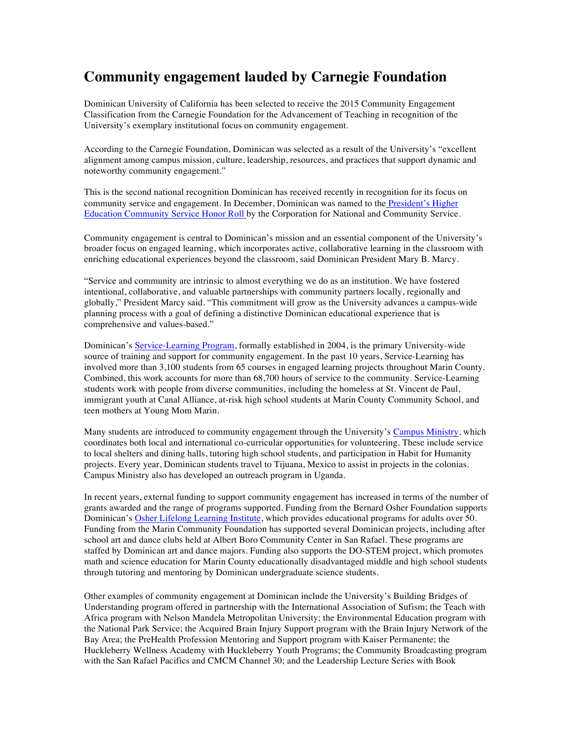## **Community engagement lauded by Carnegie Foundation**

Dominican University of California has been selected to receive the 2015 Community Engagement Classification from the Carnegie Foundation for the Advancement of Teaching in recognition of the University's exemplary institutional focus on community engagement.

According to the Carnegie Foundation, Dominican was selected as a result of the University's "excellent alignment among campus mission, culture, leadership, resources, and practices that support dynamic and noteworthy community engagement."

This is the second national recognition Dominican has received recently in recognition for its focus on community service and engagement. In December, Dominican was named to the President's Higher Education Community Service Honor Roll by the Corporation for National and Community Service.

Community engagement is central to Dominican's mission and an essential component of the University's broader focus on engaged learning, which incorporates active, collaborative learning in the classroom with enriching educational experiences beyond the classroom, said Dominican President Mary B. Marcy.

"Service and community are intrinsic to almost everything we do as an institution. We have fostered intentional, collaborative, and valuable partnerships with community partners locally, regionally and globally," President Marcy said. "This commitment will grow as the University advances a campus-wide planning process with a goal of defining a distinctive Dominican educational experience that is comprehensive and values-based."

Dominican's Service-Learning Program, formally established in 2004, is the primary University-wide source of training and support for community engagement. In the past 10 years, Service-Learning has involved more than 3,100 students from 65 courses in engaged learning projects throughout Marin County. Combined, this work accounts for more than 68,700 hours of service to the community. Service-Learning students work with people from diverse communities, including the homeless at St. Vincent de Paul, immigrant youth at Canal Alliance, at-risk high school students at Marin County Community School, and teen mothers at Young Mom Marin.

Many students are introduced to community engagement through the University's Campus Ministry, which coordinates both local and international co-curricular opportunities for volunteering. These include service to local shelters and dining halls, tutoring high school students, and participation in Habit for Humanity projects. Every year, Dominican students travel to Tijuana, Mexico to assist in projects in the colonias. Campus Ministry also has developed an outreach program in Uganda.

In recent years, external funding to support community engagement has increased in terms of the number of grants awarded and the range of programs supported. Funding from the Bernard Osher Foundation supports Dominican's Osher Lifelong Learning Institute, which provides educational programs for adults over 50. Funding from the Marin Community Foundation has supported several Dominican projects, including after school art and dance clubs held at Albert Boro Community Center in San Rafael. These programs are staffed by Dominican art and dance majors. Funding also supports the DO-STEM project, which promotes math and science education for Marin County educationally disadvantaged middle and high school students through tutoring and mentoring by Dominican undergraduate science students.

Other examples of community engagement at Dominican include the University's Building Bridges of Understanding program offered in partnership with the International Association of Sufism; the Teach with Africa program with Nelson Mandela Metropolitan University; the Environmental Education program with the National Park Service; the Acquired Brain Injury Support program with the Brain Injury Network of the Bay Area; the PreHealth Profession Mentoring and Support program with Kaiser Permanente; the Huckleberry Wellness Academy with Huckleberry Youth Programs; the Community Broadcasting program with the San Rafael Pacifics and CMCM Channel 30; and the Leadership Lecture Series with Book